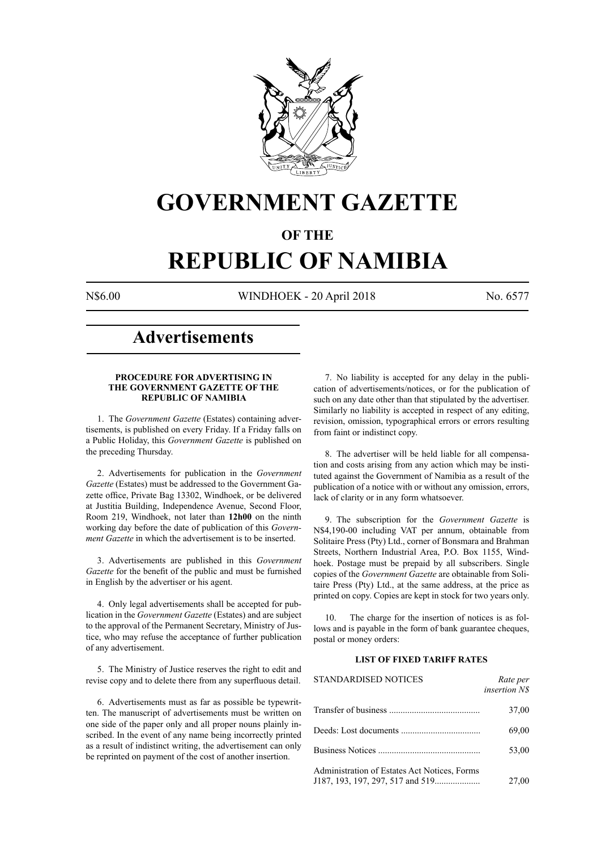

# **GOVERNMENT GAZETTE**

### **OF THE**

# **REPUBLIC OF NAMIBIA**

N\$6.00 WINDHOEK - 20 April 2018 No. 6577

## **Advertisements**

#### **PROCEDURE FOR ADVERTISING IN THE GOVERNMENT GAZETTE OF THE REPUBLIC OF NAMIBIA**

1. The *Government Gazette* (Estates) containing advertisements, is published on every Friday. If a Friday falls on a Public Holiday, this *Government Gazette* is published on the preceding Thursday.

2. Advertisements for publication in the *Government Gazette* (Estates) must be addressed to the Government Gazette office, Private Bag 13302, Windhoek, or be delivered at Justitia Building, Independence Avenue, Second Floor, Room 219, Windhoek, not later than **12h00** on the ninth working day before the date of publication of this *Government Gazette* in which the advertisement is to be inserted.

3. Advertisements are published in this *Government Gazette* for the benefit of the public and must be furnished in English by the advertiser or his agent.

4. Only legal advertisements shall be accepted for publication in the *Government Gazette* (Estates) and are subject to the approval of the Permanent Secretary, Ministry of Justice, who may refuse the acceptance of further publication of any advertisement.

5. The Ministry of Justice reserves the right to edit and revise copy and to delete there from any superfluous detail.

6. Advertisements must as far as possible be typewritten. The manuscript of advertisements must be written on one side of the paper only and all proper nouns plainly inscribed. In the event of any name being incorrectly printed as a result of indistinct writing, the advertisement can only be reprinted on payment of the cost of another insertion.

7. No liability is accepted for any delay in the publication of advertisements/notices, or for the publication of such on any date other than that stipulated by the advertiser. Similarly no liability is accepted in respect of any editing, revision, omission, typographical errors or errors resulting from faint or indistinct copy.

8. The advertiser will be held liable for all compensation and costs arising from any action which may be instituted against the Government of Namibia as a result of the publication of a notice with or without any omission, errors, lack of clarity or in any form whatsoever.

9. The subscription for the *Government Gazette* is N\$4,190-00 including VAT per annum, obtainable from Solitaire Press (Pty) Ltd., corner of Bonsmara and Brahman Streets, Northern Industrial Area, P.O. Box 1155, Windhoek. Postage must be prepaid by all subscribers. Single copies of the *Government Gazette* are obtainable from Solitaire Press (Pty) Ltd., at the same address, at the price as printed on copy. Copies are kept in stock for two years only.

10. The charge for the insertion of notices is as follows and is payable in the form of bank guarantee cheques, postal or money orders:

#### **LIST OF FIXED TARIFF RATES**

| <b>STANDARDISED NOTICES</b>                  | Rate per<br><i>insertion NS</i> |
|----------------------------------------------|---------------------------------|
|                                              | 37,00                           |
|                                              | 69,00                           |
|                                              | 53,00                           |
| Administration of Estates Act Notices, Forms | 27,00                           |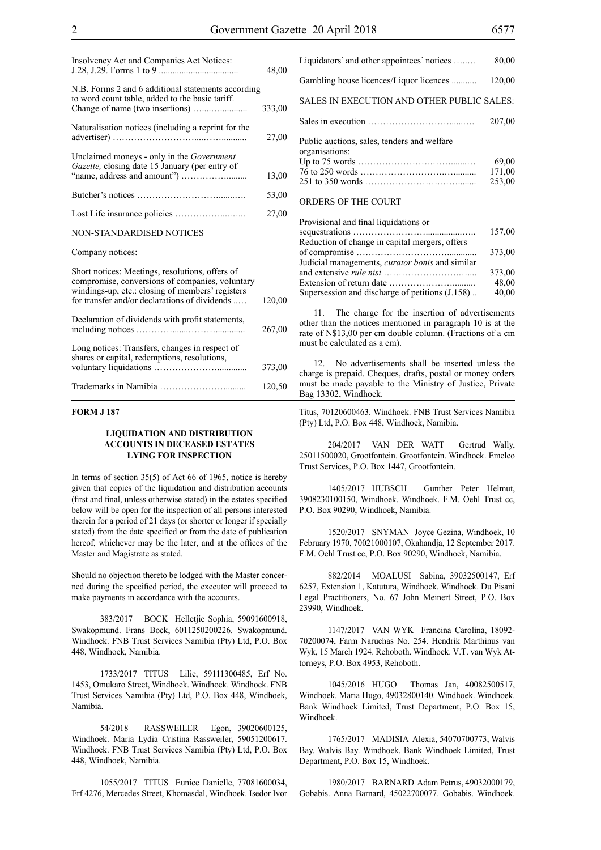| Insolvency Act and Companies Act Notices:                                                                                                                                                               | 48,00  |
|---------------------------------------------------------------------------------------------------------------------------------------------------------------------------------------------------------|--------|
| N.B. Forms 2 and 6 additional statements according<br>to word count table, added to the basic tariff.                                                                                                   | 333,00 |
| Naturalisation notices (including a reprint for the                                                                                                                                                     | 27,00  |
| Unclaimed moneys - only in the <i>Government</i><br>Gazette, closing date 15 January (per entry of                                                                                                      | 13,00  |
|                                                                                                                                                                                                         | 53,00  |
|                                                                                                                                                                                                         | 27,00  |
| NON-STANDARDISED NOTICES                                                                                                                                                                                |        |
| Company notices:                                                                                                                                                                                        |        |
| Short notices: Meetings, resolutions, offers of<br>compromise, conversions of companies, voluntary<br>windings-up, etc.: closing of members' registers<br>for transfer and/or declarations of dividends | 120,00 |
| Declaration of dividends with profit statements,                                                                                                                                                        | 267,00 |
| Long notices: Transfers, changes in respect of<br>shares or capital, redemptions, resolutions,                                                                                                          | 373,00 |
|                                                                                                                                                                                                         | 120,50 |

#### **FORM J 187**

#### **LIQUIDATION AND DISTRIBUTION ACCOUNTS IN DECEASED ESTATES LYING FOR INSPECTION**

In terms of section 35(5) of Act 66 of 1965, notice is hereby given that copies of the liquidation and distribution accounts (first and final, unless otherwise stated) in the estates specified below will be open for the inspection of all persons interested therein for a period of 21 days (or shorter or longer if specially stated) from the date specified or from the date of publication hereof, whichever may be the later, and at the offices of the Master and Magistrate as stated.

Should no objection thereto be lodged with the Master concerned during the specified period, the executor will proceed to make payments in accordance with the accounts.

383/2017 BOCK Helletjie Sophia, 59091600918, Swakopmund. Frans Bock, 6011250200226. Swakopmund. Windhoek. FNB Trust Services Namibia (Pty) Ltd, P.O. Box 448, Windhoek, Namibia.

1733/2017 TITUS Lilie, 59111300485, Erf No. 1453, Omukaro Street, Windhoek. Windhoek. Windhoek. FNB Trust Services Namibia (Pty) Ltd, P.O. Box 448, Windhoek, Namibia.

54/2018 RASSWEILER Egon, 39020600125, Windhoek. Maria Lydia Cristina Rassweiler, 59051200617. Windhoek. FNB Trust Services Namibia (Pty) Ltd, P.O. Box 448, Windhoek, Namibia.

1055/2017 TITUS Eunice Danielle, 77081600034, Erf 4276, Mercedes Street, Khomasdal, Windhoek. Isedor Ivor

| Liquidators' and other appointees' notices                                                | 80,00  |
|-------------------------------------------------------------------------------------------|--------|
| Gambling house licences/Liquor licences                                                   | 120,00 |
| SALES IN EXECUTION AND OTHER PUBLIC SALES:                                                |        |
|                                                                                           | 207,00 |
| Public auctions, sales, tenders and welfare<br>organisations:                             |        |
|                                                                                           | 69,00  |
|                                                                                           | 171,00 |
|                                                                                           | 253,00 |
| ORDERS OF THE COURT                                                                       |        |
| Provisional and final liquidations or<br>Dadration of changes in conital moneyers offers. | 157,00 |

|                                                        | 157,00 |
|--------------------------------------------------------|--------|
| Reduction of change in capital mergers, offers         |        |
|                                                        | 373,00 |
| Judicial managements, <i>curator bonis</i> and similar |        |
|                                                        | 373.00 |
|                                                        | 48,00  |
| Supersession and discharge of petitions (J.158)        | 40,00  |
|                                                        |        |

11. The charge for the insertion of advertisements other than the notices mentioned in paragraph 10 is at the rate of N\$13,00 per cm double column. (Fractions of a cm must be calculated as a cm).

12. No advertisements shall be inserted unless the charge is prepaid. Cheques, drafts, postal or money orders must be made payable to the Ministry of Justice, Private Bag 13302, Windhoek.

Titus, 70120600463. Windhoek. FNB Trust Services Namibia (Pty) Ltd, P.O. Box 448, Windhoek, Namibia.

204/2017 VAN DER WATT Gertrud Wally, 25011500020, Grootfontein. Grootfontein. Windhoek. Emeleo Trust Services, P.O. Box 1447, Grootfontein.

1405/2017 HUBSCH Gunther Peter Helmut, 3908230100150, Windhoek. Windhoek. F.M. Oehl Trust cc, P.O. Box 90290, Windhoek, Namibia.

1520/2017 SNYMAN Joyce Gezina, Windhoek, 10 February 1970, 70021000107, Okahandja, 12 September 2017. F.M. Oehl Trust cc, P.O. Box 90290, Windhoek, Namibia.

882/2014 MOALUSI Sabina, 39032500147, Erf 6257, Extension 1, Katutura, Windhoek. Windhoek. Du Pisani Legal Practitioners, No. 67 John Meinert Street, P.O. Box 23990, Windhoek.

1147/2017 VAN WYK Francina Carolina, 18092- 70200074, Farm Naruchas No. 254. Hendrik Marthinus van Wyk, 15 March 1924. Rehoboth. Windhoek. V.T. van Wyk Attorneys, P.O. Box 4953, Rehoboth.

1045/2016 HUGO Thomas Jan, 40082500517, Windhoek. Maria Hugo, 49032800140. Windhoek. Windhoek. Bank Windhoek Limited, Trust Department, P.O. Box 15, Windhoek.

1765/2017 MADISIA Alexia, 54070700773, Walvis Bay. Walvis Bay. Windhoek. Bank Windhoek Limited, Trust Department, P.O. Box 15, Windhoek.

1980/2017 BARNARD Adam Petrus, 49032000179, Gobabis. Anna Barnard, 45022700077. Gobabis. Windhoek.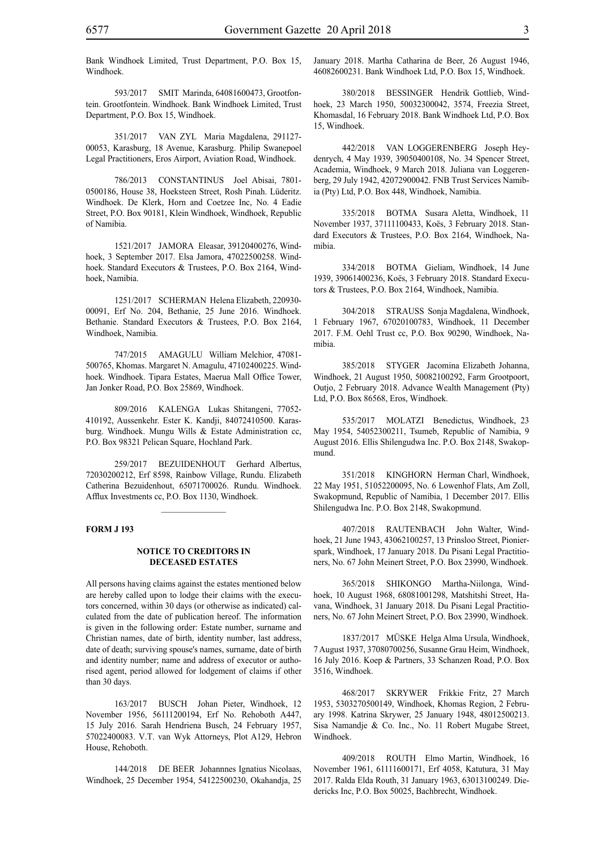Bank Windhoek Limited, Trust Department, P.O. Box 15, Windhoek.

593/2017 SMIT Marinda, 64081600473, Grootfontein. Grootfontein. Windhoek. Bank Windhoek Limited, Trust Department, P.O. Box 15, Windhoek.

351/2017 VAN ZYL Maria Magdalena, 291127- 00053, Karasburg, 18 Avenue, Karasburg. Philip Swanepoel Legal Practitioners, Eros Airport, Aviation Road, Windhoek.

786/2013 CONSTANTINUS Joel Abisai, 7801- 0500186, House 38, Hoeksteen Street, Rosh Pinah. Lüderitz. Windhoek. De Klerk, Horn and Coetzee Inc, No. 4 Eadie Street, P.O. Box 90181, Klein Windhoek, Windhoek, Republic of Namibia.

1521/2017 JAMORA Eleasar, 39120400276, Windhoek, 3 September 2017. Elsa Jamora, 47022500258. Windhoek. Standard Executors & Trustees, P.O. Box 2164, Windhoek, Namibia.

1251/2017 SCHERMAN Helena Elizabeth, 220930- 00091, Erf No. 204, Bethanie, 25 June 2016. Windhoek. Bethanie. Standard Executors & Trustees, P.O. Box 2164, Windhoek, Namibia.

747/2015 AMAGULU William Melchior, 47081- 500765, Khomas. Margaret N. Amagulu, 47102400225. Windhoek. Windhoek. Tipara Estates, Maerua Mall Office Tower, Jan Jonker Road, P.O. Box 25869, Windhoek.

809/2016 KALENGA Lukas Shitangeni, 77052-410192, Aussenkehr. Ester K. Kandji, 84072410500. Karasburg. Windhoek. Mungu Wills & Estate Administration cc, P.O. Box 98321 Pelican Square, Hochland Park.

259/2017 BEZUIDENHOUT Gerhard Albertus, 72030200212, Erf 8598, Rainbow Village, Rundu. Elizabeth Catherina Bezuidenhout, 65071700026. Rundu. Windhoek. Afflux Investments cc, P.O. Box 1130, Windhoek.

#### **FORM J 193**

#### **NOTICE TO CREDITORS IN DECEASED ESTATES**

All persons having claims against the estates mentioned below are hereby called upon to lodge their claims with the executors concerned, within 30 days (or otherwise as indicated) calculated from the date of publication hereof. The information is given in the following order: Estate number, surname and Christian names, date of birth, identity number, last address, date of death; surviving spouse's names, surname, date of birth and identity number; name and address of executor or authorised agent, period allowed for lodgement of claims if other than 30 days.

163/2017 BUSCH Johan Pieter, Windhoek, 12 November 1956, 56111200194, Erf No. Rehoboth A447, 15 July 2016. Sarah Hendriena Busch, 24 February 1957, 57022400083. V.T. van Wyk Attorneys, Plot A129, Hebron House, Rehoboth.

144/2018 DE BEER Johannnes Ignatius Nicolaas, Windhoek, 25 December 1954, 54122500230, Okahandja, 25 January 2018. Martha Catharina de Beer, 26 August 1946, 46082600231. Bank Windhoek Ltd, P.O. Box 15, Windhoek.

380/2018 BESSINGER Hendrik Gottlieb, Windhoek, 23 March 1950, 50032300042, 3574, Freezia Street, Khomasdal, 16 February 2018. Bank Windhoek Ltd, P.O. Box 15, Windhoek.

442/2018 VAN LOGGERENBERG Joseph Heydenrych, 4 May 1939, 39050400108, No. 34 Spencer Street, Academia, Windhoek, 9 March 2018. Juliana van Loggerenberg, 29 July 1942, 42072900042. FNB Trust Services Namibia (Pty) Ltd, P.O. Box 448, Windhoek, Namibia.

335/2018 BOTMA Susara Aletta, Windhoek, 11 November 1937, 37111100433, Koës, 3 February 2018. Standard Executors & Trustees, P.O. Box 2164, Windhoek, Namibia.

334/2018 BOTMA Gieliam, Windhoek, 14 June 1939, 39061400236, Koës, 3 February 2018. Standard Executors & Trustees, P.O. Box 2164, Windhoek, Namibia.

304/2018 STRAUSS Sonja Magdalena, Windhoek, 1 February 1967, 67020100783, Windhoek, 11 December 2017. F.M. Oehl Trust cc, P.O. Box 90290, Windhoek, Namibia.

385/2018 STYGER Jacomina Elizabeth Johanna, Windhoek, 21 August 1950, 50082100292, Farm Grootpoort, Outjo, 2 February 2018. Advance Wealth Management (Pty) Ltd, P.O. Box 86568, Eros, Windhoek.

535/2017 MOLATZI Benedictus, Windhoek, 23 May 1954, 54052300211, Tsumeb, Republic of Namibia, 9 August 2016. Ellis Shilengudwa Inc. P.O. Box 2148, Swakopmund.

351/2018 KINGHORN Herman Charl, Windhoek, 22 May 1951, 51052200095, No. 6 Lowenhof Flats, Am Zoll, Swakopmund, Republic of Namibia, 1 December 2017. Ellis Shilengudwa Inc. P.O. Box 2148, Swakopmund.

407/2018 RAUTENBACH John Walter, Windhoek, 21 June 1943, 43062100257, 13 Prinsloo Street, Pionierspark, Windhoek, 17 January 2018. Du Pisani Legal Practitioners, No. 67 John Meinert Street, P.O. Box 23990, Windhoek.

365/2018 SHIKONGO Martha-Niilonga, Windhoek, 10 August 1968, 68081001298, Matshitshi Street, Havana, Windhoek, 31 January 2018. Du Pisani Legal Practitioners, No. 67 John Meinert Street, P.O. Box 23990, Windhoek.

1837/2017 MÜSKE Helga Alma Ursula, Windhoek, 7 August 1937, 37080700256, Susanne Grau Heim, Windhoek, 16 July 2016. Koep & Partners, 33 Schanzen Road, P.O. Box 3516, Windhoek.

468/2017 SKRYWER Frikkie Fritz, 27 March 1953, 5303270500149, Windhoek, Khomas Region, 2 February 1998. Katrina Skrywer, 25 January 1948, 48012500213. Sisa Namandje & Co. Inc., No. 11 Robert Mugabe Street, Windhoek.

409/2018 ROUTH Elmo Martin, Windhoek, 16 November 1961, 61111600171, Erf 4058, Katutura, 31 May 2017. Ralda Elda Routh, 31 January 1963, 63013100249. Diedericks Inc, P.O. Box 50025, Bachbrecht, Windhoek.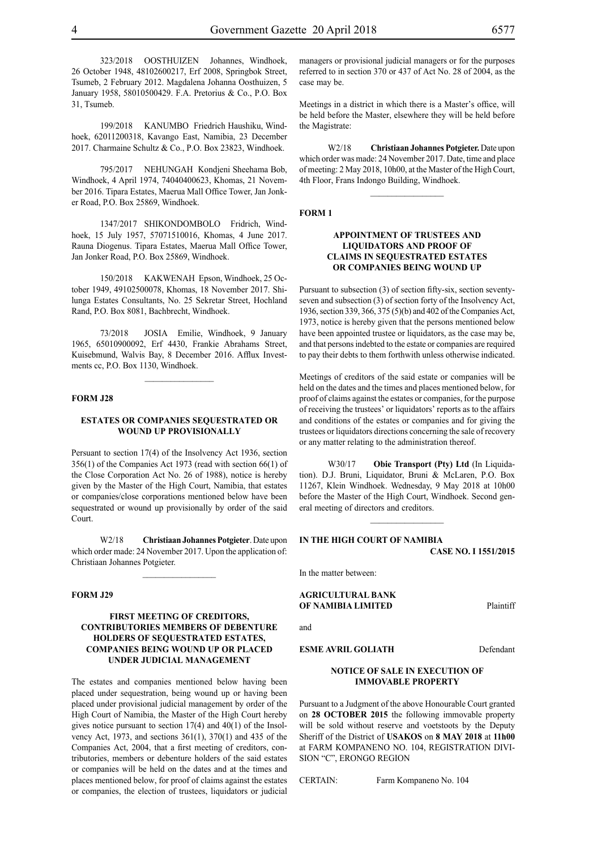323/2018 OOSTHUIZEN Johannes, Windhoek, 26 October 1948, 48102600217, Erf 2008, Springbok Street, Tsumeb, 2 February 2012. Magdalena Johanna Oosthuizen, 5 January 1958, 58010500429. F.A. Pretorius & Co., P.O. Box 31, Tsumeb.

199/2018 KANUMBO Friedrich Haushiku, Windhoek, 62011200318, Kavango East, Namibia, 23 December 2017. Charmaine Schultz & Co., P.O. Box 23823, Windhoek.

795/2017 NEHUNGAH Kondjeni Sheehama Bob, Windhoek, 4 April 1974, 74040400623, Khomas, 21 November 2016. Tipara Estates, Maerua Mall Office Tower, Jan Jonker Road, P.O. Box 25869, Windhoek.

1347/2017 SHIKONDOMBOLO Fridrich, Windhoek, 15 July 1957, 57071510016, Khomas, 4 June 2017. Rauna Diogenus. Tipara Estates, Maerua Mall Office Tower, Jan Jonker Road, P.O. Box 25869, Windhoek.

150/2018 KAKWENAH Epson, Windhoek, 25 October 1949, 49102500078, Khomas, 18 November 2017. Shilunga Estates Consultants, No. 25 Sekretar Street, Hochland Rand, P.O. Box 8081, Bachbrecht, Windhoek.

73/2018 JOSIA Emilie, Windhoek, 9 January 1965, 65010900092, Erf 4430, Frankie Abrahams Street, Kuisebmund, Walvis Bay, 8 December 2016. Afflux Investments cc, P.O. Box 1130, Windhoek.

#### **FORM J28**

#### **ESTATES OR COMPANIES SEQUESTRATED OR WOUND UP PROVISIONALLY**

Persuant to section 17(4) of the Insolvency Act 1936, section 356(1) of the Companies Act 1973 (read with section 66(1) of the Close Corporation Act No. 26 of 1988), notice is hereby given by the Master of the High Court, Namibia, that estates or companies/close corporations mentioned below have been sequestrated or wound up provisionally by order of the said Court.

W2/18 **Christiaan Johannes Potgieter**. Date upon which order made: 24 November 2017. Upon the application of: Christiaan Johannes Potgieter.

 $\frac{1}{2}$ 

#### **FORM J29**

#### **FIRST MEETING OF CREDITORS, CONTRIBUTORIES MEMBERS OF DEBENTURE HOLDERS OF SEQUESTRATED ESTATES, COMPANIES BEING WOUND UP OR PLACED UNDER JUDICIAL MANAGEMENT**

The estates and companies mentioned below having been placed under sequestration, being wound up or having been placed under provisional judicial management by order of the High Court of Namibia, the Master of the High Court hereby gives notice pursuant to section 17(4) and 40(1) of the Insolvency Act, 1973, and sections 361(1), 370(1) and 435 of the Companies Act, 2004, that a first meeting of creditors, contributories, members or debenture holders of the said estates or companies will be held on the dates and at the times and places mentioned below, for proof of claims against the estates or companies, the election of trustees, liquidators or judicial

managers or provisional judicial managers or for the purposes referred to in section 370 or 437 of Act No. 28 of 2004, as the case may be.

Meetings in a district in which there is a Master's office, will be held before the Master, elsewhere they will be held before the Magistrate:

W2/18 **Christiaan Johannes Potgieter.** Date upon which order was made: 24 November 2017. Date, time and place of meeting: 2 May 2018, 10h00, at the Master of the High Court, 4th Floor, Frans Indongo Building, Windhoek.

 $\frac{1}{2}$ 

#### **FORM 1**

#### **APPOINTMENT OF TRUSTEES AND LIQUIDATORS AND PROOF OF CLAIMS IN SEQUESTRATED ESTATES OR COMPANIES BEING WOUND UP**

Pursuant to subsection (3) of section fifty-six, section seventyseven and subsection (3) of section forty of the Insolvency Act, 1936, section 339, 366, 375 (5)(b) and 402 of the Companies Act, 1973, notice is hereby given that the persons mentioned below have been appointed trustee or liquidators, as the case may be, and that persons indebted to the estate or companies are required to pay their debts to them forthwith unless otherwise indicated.

Meetings of creditors of the said estate or companies will be held on the dates and the times and places mentioned below, for proof of claims against the estates or companies, for the purpose of receiving the trustees' or liquidators' reports as to the affairs and conditions of the estates or companies and for giving the trustees or liquidators directions concerning the sale of recovery or any matter relating to the administration thereof.

W30/17 **Obie Transport (Pty) Ltd** (In Liquidation). D.J. Bruni, Liquidator, Bruni & McLaren, P.O. Box 11267, Klein Windhoek. Wednesday, 9 May 2018 at 10h00 before the Master of the High Court, Windhoek. Second general meeting of directors and creditors.

#### **IN THE HIGH COURT OF NAMIBIA CASE No. I 1551/2015**

 $\frac{1}{2}$ 

In the matter between:

#### **AGRICULTURAL BANK OF NAMIBIA LIMITED** Plaintiff

and

**ESME AVRIL GOLIATH** Defendant

#### **NOTICE OF SALE IN EXECUTION OF IMMOVABLE PROPERTY**

Pursuant to a Judgment of the above Honourable Court granted on **28 OCTOBER 2015** the following immovable property will be sold without reserve and voetstoots by the Deputy Sheriff of the District of **USAKOS** on **8 MAY 2018** at **11h00**  at FARM KOMPANENO NO. 104, REGISTRATION DIVI-SION "C", ERONGO REGION

CERTAIN: Farm Kompaneno No. 104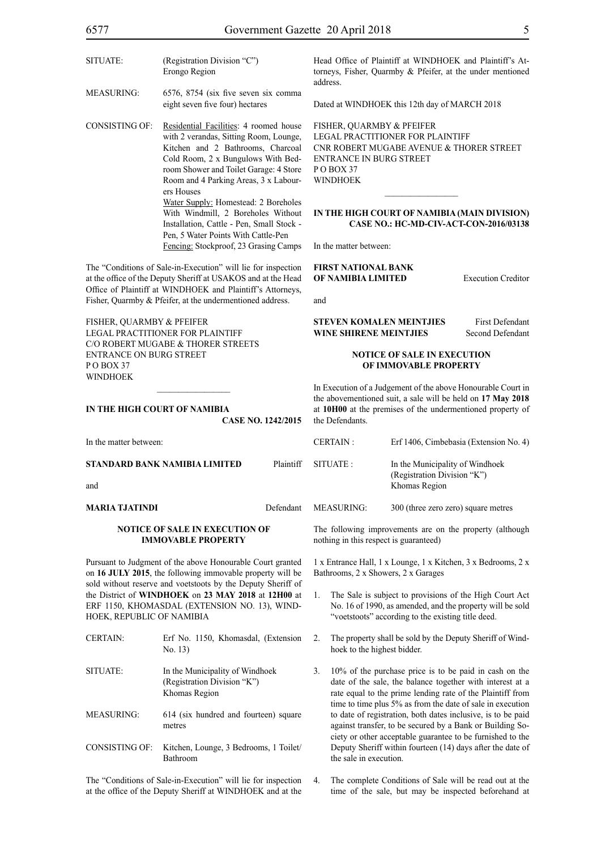| 0 <i>J    </i>                                                          |                                                                                                                                                                                                                                                              | OOVUMMUM OAZUN ZUTIK      |                                                                                               |
|-------------------------------------------------------------------------|--------------------------------------------------------------------------------------------------------------------------------------------------------------------------------------------------------------------------------------------------------------|---------------------------|-----------------------------------------------------------------------------------------------|
| SITUATE:                                                                | (Registration Division "C")<br>Erongo Region                                                                                                                                                                                                                 |                           | Head Offic<br>torneys, Fi                                                                     |
| <b>MEASURING:</b>                                                       | 6576, 8754 (six five seven six comma<br>eight seven five four) hectares                                                                                                                                                                                      |                           | address.<br>Dated at W                                                                        |
| <b>CONSISTING OF:</b>                                                   | Residential Facilities: 4 roomed house<br>with 2 verandas, Sitting Room, Lounge,<br>Kitchen and 2 Bathrooms, Charcoal<br>Cold Room, 2 x Bungulows With Bed-<br>room Shower and Toilet Garage: 4 Store<br>Room and 4 Parking Areas, 3 x Labour-<br>ers Houses |                           | FISHER, C<br><b>LEGAL PF</b><br><b>CNR ROB</b><br><b>ENTRANO</b><br>POBOX 3<br><b>WINDHOI</b> |
|                                                                         | Water Supply: Homestead: 2 Boreholes<br>With Windmill, 2 Boreholes Without<br>Installation, Cattle - Pen, Small Stock -<br>Pen, 5 Water Points With Cattle-Pen<br>Fencing: Stockproof, 23 Grasing Camps                                                      |                           | <b>IN THE H</b><br>1<br>In the matte                                                          |
|                                                                         | The "Conditions of Sale-in-Execution" will lie for inspection<br>at the office of the Deputy Sheriff at USAKOS and at the Head<br>Office of Plaintiff at WINDHOEK and Plaintiff's Attorneys,<br>Fisher, Quarmby & Pfeifer, at the undermentioned address.    |                           | <b>FIRST NA</b><br><b>OF NAMI</b><br>and                                                      |
| FISHER, QUARMBY & PFEIFER<br><b>ENTRANCE ON BURG STREET</b><br>POBOX 37 | <b>LEGAL PRACTITIONER FOR PLAINTIFF</b><br>C/O ROBERT MUGABE & THORER STREETS                                                                                                                                                                                |                           | <b>STEVEN</b> I<br><b>WINE SH</b>                                                             |
| <b>WINDHOEK</b>                                                         | IN THE HIGH COURT OF NAMIBIA                                                                                                                                                                                                                                 | <b>CASE NO. 1242/2015</b> | In Executic<br>the aboven<br>at 10H00 a<br>the Defend                                         |
| In the matter between:                                                  |                                                                                                                                                                                                                                                              |                           | <b>CERTAIN</b>                                                                                |
|                                                                         | STANDARD BANK NAMIBIA LIMITED                                                                                                                                                                                                                                | Plaintiff                 | <b>SITUATE:</b>                                                                               |
| and                                                                     |                                                                                                                                                                                                                                                              |                           |                                                                                               |
| <b>MARIA TJATINDI</b>                                                   |                                                                                                                                                                                                                                                              | Defendant                 | <b>MEASURI</b>                                                                                |
|                                                                         | NOTICE OF SALE IN EXECUTION OF<br><b>IMMOVABLE PROPERTY</b>                                                                                                                                                                                                  |                           | The follow<br>nothing in                                                                      |

Pursuant to Judgment of the above Honourable Court granted on **16 JULY 2015**, the following immovable property will be sold without reserve and voetstoots by the Deputy Sheriff of the District of **WINDHOEK** on **23 MAY 2018** at **12H00** at ERF 1150, KHOMASDAL (EXTENSION NO. 13), WIND-HOEK, REPUBLIC OF NAMIBIA

CERTAIN: Erf No. 1150, Khomasdal, (Extension No. 13) SITUATE: In the Municipality of Windhoek (Registration Division "K") Khomas Region MEASURING: 614 (six hundred and fourteen) square metres CONSISTING OF: Kitchen, Lounge, 3 Bedrooms, 1 Toilet/ Bathroom

The "Conditions of Sale-in-Execution" will lie for inspection at the office of the Deputy Sheriff at WINDHOEK and at the e of Plaintiff at WINDHOEK and Plaintiff's Atsher, Quarmby & Pfeifer, at the under mentioned

INDHOEK this 12th day of MARCH 2018

UARMBY & PFEIFER RACTITIONER FOR PLAINTIFF ERT MUGABE AVENUE & THORER STREET CE IN BURG STREET P O Box 37 EK

#### **IIGH COURT OF NAMIBIA (MAIN DIVISION) CASE NO.: HC-MD-CIV-ACT-CON-2016/03138**

 $\frac{1}{2}$ 

er between:

#### **FIRST NATIONAL BANK BIA LIMITED** Execution Creditor

**STEVEN KOMALEN MEINTJIES** First Defendant **IRENE MEINTJIES** Second Defendant

#### **NOTICE OF SALE IN EXECUTION OF IMMOVABLE PROPERTY**

In of a Judgement of the above Honourable Court in the above mentioned suit, a sale will be held on 17 May 2018 at the premises of the undermentioned property of ants

|                 |           | CERTAIN :  | Erf 1406, Cimbebasia (Extension No. 4)                                          |
|-----------------|-----------|------------|---------------------------------------------------------------------------------|
| NAMIBIA LIMITED | Plaintiff | SITUATE :  | In the Municipality of Windhoek<br>(Registration Division "K")<br>Khomas Region |
|                 | Defendant | MEASURING: | 300 (three zero zero) square metres                                             |

ing improvements are on the property (although this respect is guaranteed)

1 x Entrance Hall, 1 x Lounge, 1 x Kitchen, 3 x Bedrooms, 2 x Bathrooms, 2 x Showers, 2 x Garages

- 1. The Sale is subject to provisions of the High Court Act No. 16 of 1990, as amended, and the property will be sold "voetstoots" according to the existing title deed.
- 2. The property shall be sold by the Deputy Sheriff of Windhoek to the highest bidder.
- 3. 10% of the purchase price is to be paid in cash on the date of the sale, the balance together with interest at a rate equal to the prime lending rate of the Plaintiff from time to time plus 5% as from the date of sale in execution to date of registration, both dates inclusive, is to be paid against transfer, to be secured by a Bank or Building Society or other acceptable guarantee to be furnished to the Deputy Sheriff within fourteen (14) days after the date of the sale in execution.
- 4. The complete Conditions of Sale will be read out at the time of the sale, but may be inspected beforehand at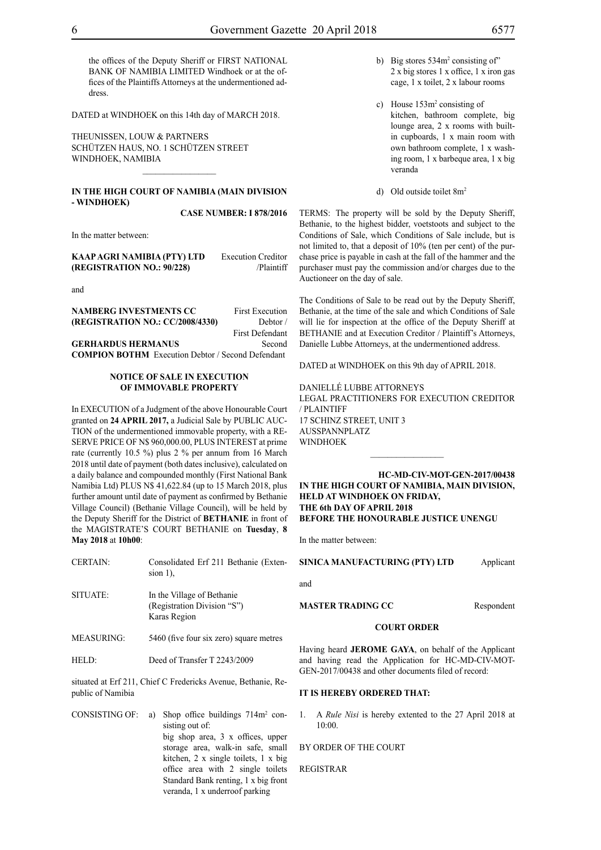the offices of the Deputy Sheriff or FIRST NATIONAL BANK OF NAMIBIA LIMITED Windhoek or at the offices of the Plaintiffs Attorneys at the undermentioned address.

DATED at WINDHOEK on this 14th day of MARCH 2018.

THEUNISSEN, LOUW & PARTNERS Schützen Haus, No. 1 Schützen Street WINDHOEK, NAMIBIA

#### **IN THE HIGH COURT OF NAMIBIA (Main Division - Windhoek)**

 $\frac{1}{2}$ 

**Case Number: I 878/2016**

In the matter between:

| KAAP AGRI NAMIBIA (PTY) LTD | <b>Execution Creditor</b> |
|-----------------------------|---------------------------|
| (REGISTRATION NO.: 90/228)  | /Plaintiff                |

and

| <b>NAMBERG INVESTMENTS CC</b>    | <b>First Execution</b> |
|----------------------------------|------------------------|
| (REGISTRATION NO.: CC/2008/4330) | Debtor/                |
|                                  | <b>First Defendant</b> |
| <b>GERHARDUS HERMANUS</b>        | Second                 |

**COMPION BOTHM** Execution Debtor / Second Defendant

#### **NOTICE OF SALE IN EXECUTION OF IMMOVABLE PROPERTY**

In EXECUTION of a Judgment of the above Honourable Court granted on **24 APRIL 2017,** a Judicial Sale by PUBLIC AUC-TION of the undermentioned immovable property, with a RE-SERVE PRICE OF N\$ 960,000.00, PLUS INTEREST at prime rate (currently 10.5 %) plus 2 % per annum from 16 March 2018 until date of payment (both dates inclusive), calculated on a daily balance and compounded monthly (First National Bank Namibia Ltd) PLUS N\$ 41,622.84 (up to 15 March 2018, plus further amount until date of payment as confirmed by Bethanie Village Council) (Bethanie Village Council), will be held by the Deputy Sheriff for the District of **BETHANIE** in front of the MAGISTRATE'S COURT BETHANIE on **Tuesday**, **8 May 2018** at **10h00**:

| <b>CERTAIN:</b>   | Consolidated Erf 211 Bethanie (Exten-<br>$sion$ 1).                       |
|-------------------|---------------------------------------------------------------------------|
| SITUATE:          | In the Village of Bethanie<br>(Registration Division "S")<br>Karas Region |
| <b>MEASURING:</b> | 5460 (five four six zero) square metres                                   |

HELD: Deed of Transfer T 2243/2009

situated at Erf 211, Chief C Fredericks Avenue, Bethanie, Republic of Namibia

CONSISTING OF: a) Shop office buildings  $714m^2$  consisting out of: big shop area, 3 x offices, upper storage area, walk-in safe, small kitchen, 2 x single toilets, 1 x big office area with 2 single toilets Standard Bank renting, 1 x big front veranda, 1 x underroof parking

- b) Big stores 534m<sup>2</sup> consisting of" 2 x big stores 1 x office, 1 x iron gas cage, 1 x toilet, 2 x labour rooms
- c) House 153m<sup>2</sup> consisting of kitchen, bathroom complete, big lounge area, 2 x rooms with builtin cupboards, 1 x main room with own bathroom complete, 1 x washing room, 1 x barbeque area, 1 x big veranda
- d) Old outside toilet 8m2

TERMS: The property will be sold by the Deputy Sheriff, Bethanie, to the highest bidder, voetstoots and subject to the Conditions of Sale, which Conditions of Sale include, but is not limited to, that a deposit of 10% (ten per cent) of the purchase price is payable in cash at the fall of the hammer and the purchaser must pay the commission and/or charges due to the Auctioneer on the day of sale.

The Conditions of Sale to be read out by the Deputy Sheriff, Bethanie, at the time of the sale and which Conditions of Sale will lie for inspection at the office of the Deputy Sheriff at BETHANIE and at Execution Creditor / Plaintiff's Attorneys, Danielle Lubbe Attorneys, at the undermentioned address.

DATED at WINDHOEK on this 9th day of APRIL 2018.

DANIELLÉ LUBBE ATTORNEYS LEGAL PRACTITIONERS FOR EXECUTION CREDITOR / Plaintiff 17 SCHINZ STREET, UNIT 3 AUSSPANNPLATZ WINDHOEK

**HC-MD-CIV-MOT-GEN-2017/00438 IN THE HIGH COURT OF NAMIBIA, MAIN DIVISION, HELD AT WINDHOEK ON FRIDAY, THE 6th DAY OF APRIL 2018 BEFORE THE HONOURABLE JUSTICE UNENGU**

In the matter between:

**SINICA MANUFACTURING (PTY) LTD** Applicant

and

**MASTER TRADING CC** Respondent

#### **COURT ORDER**

Having heard **JEROME GAYA**, on behalf of the Applicant and having read the Application for HC-MD-CIV-MOT-GEN-2017/00438 and other documents filed of record:

#### **IT IS HEREBY ORDERED THAT:**

1. A *Rule Nisi* is hereby extented to the 27 April 2018 at 10:00.

BY ORDER OF THE COURT

REGISTRAR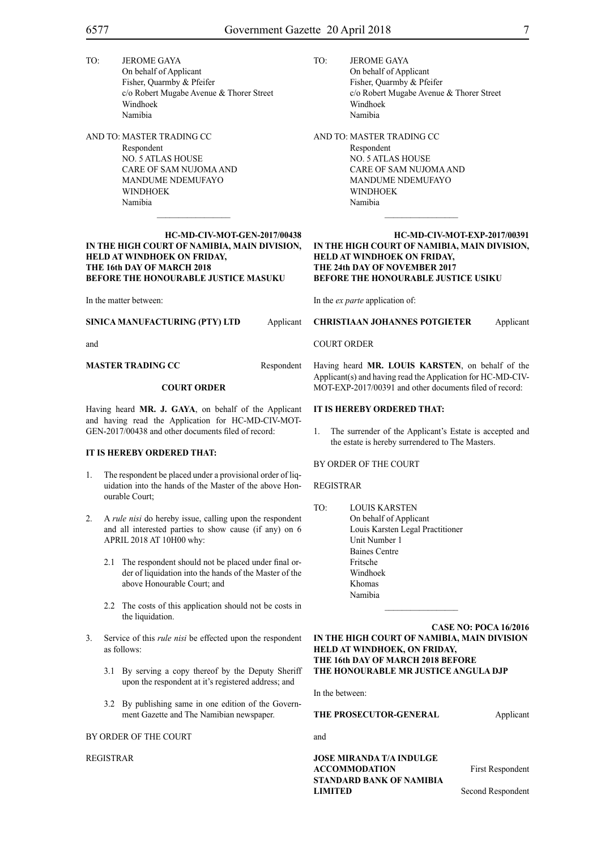- TO: JEROME GAYA On behalf of Applicant Fisher, Quarmby & Pfeifer c/o Robert Mugabe Avenue & Thorer Street Windhoek Namibia
- AND TO: MASTER TRADING CC Respondent NO. 5 ATLAS HOUSE CARE OF SAM NUJOMA AND MANDUME NDEMUFAYO **WINDHOEK** Namibia

#### **HC-MD-CIV-MOT-GEN-2017/00438 IN THE HIGH COURT OF NAMIBIA, MAIN DIVISION, HELD AT WINDHOEK ON FRIDAY, THE 16th DAY OF MARCH 2018 BEFORE THE HONOURABLE JUSTICE MASUKU**

In the matter between:

#### **SINICA MANUFACTURING (PTY) LTD** Applicant

and

**MASTER TRADING CC** Respondent

#### **COURT ORDER**

Having heard **MR. J. GAYA**, on behalf of the Applicant and having read the Application for HC-MD-CIV-MOT-GEN-2017/00438 and other documents filed of record:

#### **IT IS HEREBY ORDERED THAT:**

- 1. The respondent be placed under a provisional order of liquidation into the hands of the Master of the above Honourable Court;
- 2. A *rule nisi* do hereby issue, calling upon the respondent and all interested parties to show cause (if any) on 6 APRIL 2018 AT 10H00 why:
	- 2.1 The respondent should not be placed under final order of liquidation into the hands of the Master of the above Honourable Court; and
	- 2.2 The costs of this application should not be costs in the liquidation.
- 3. Service of this *rule nisi* be effected upon the respondent as follows:
	- 3.1 By serving a copy thereof by the Deputy Sheriff upon the respondent at it's registered address; and
	- 3.2 By publishing same in one edition of the Government Gazette and The Namibian newspaper.

#### BY ORDER OF THE COURT

REGISTRAR

- TO: JEROME GAYA On behalf of Applicant Fisher, Quarmby & Pfeifer c/o Robert Mugabe Avenue & Thorer Street Windhoek Namibia
- AND TO: MASTER TRADING CC Respondent NO. 5 ATLAS HOUSE CARE OF SAM NUJOMA AND MANDUME NDEMUFAYO **WINDHOEK** Namibia

#### **HC-MD-CIV-MOT-EXP-2017/00391 IN THE HIGH COURT OF NAMIBIA, MAIN DIVISION, HELD AT WINDHOEK ON FRIDAY, THE 24th DAY OF NOVEMBER 2017 BEFORE THE HONOURABLE JUSTICE USIKU**

In the *ex parte* application of:

#### **CHRISTIAAN JOHANNES POTGIETER** Applicant

Having heard **Mr. LOUIS KARSTEN**, on behalf of the Applicant(s) and having read the Application for HC-MD-CIV-MOT-EXP-2017/00391 and other documents filed of record:

#### **IT IS HEREBY ORDERED THAT:**

1. The surrender of the Applicant's Estate is accepted and the estate is hereby surrendered to The Masters.

BY ORDER OF THE COURT

#### REGISTRAR

TO: LOUIS KARSTEN On behalf of Applicant Louis Karsten Legal Practitioner Unit Number 1 Baines Centre Fritsche Windhoek Khomas Namibia

**CASE NO: POCA 16/2016 IN THE HIGH COURT OF NAMIBIA, MAIN DIVISION HELD AT WINDHOEK, ON FRIDAY, THE 16th DAY OF MARCH 2018 BEFORE THE HONOURABLE MR JUSTICE ANGULA DJP**

 $\mathcal{L}_\text{max}$ 

In the between:

#### **THE PROSECUTOR-GENERAL Applicant**

and

**JOSE MIRANDA T/A INDULGE ACCOMMODATION** First Respondent **STANDARD BANK OF NAMIBIA LIMITED** Second Respondent

COURT ORDER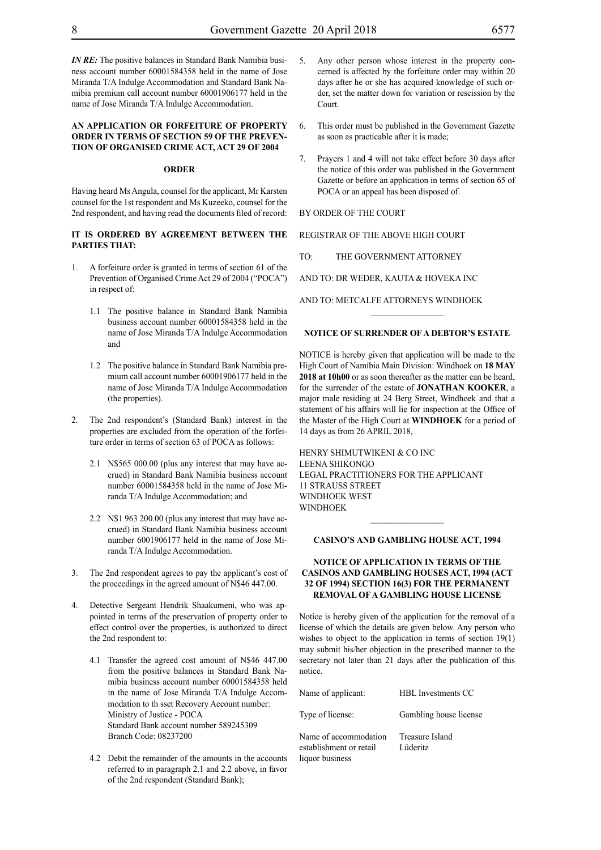*IN RE*: The positive balances in Standard Bank Namibia business account number 60001584358 held in the name of Jose Miranda T/A Indulge Accommodation and Standard Bank Namibia premium call account number 60001906177 held in the name of Jose Miranda T/A Indulge Accommodation.

#### **AN APPLICATION OR FORFEITURE OF PROPERTY ORDER IN TERMS OF SECTION 59 OF THE PREVEN-TION OF ORGANISED CRIME ACT, ACT 29 OF 2004**

#### **ORDER**

Having heard Ms Angula, counsel for the applicant, Mr Karsten counsel for the 1st respondent and Ms Kuzeeko, counsel for the 2nd respondent, and having read the documents filed of record:

#### **IT IS ORDERED BY AGREEMENT BETWEEN THE PARTIES THAT:**

- 1. A forfeiture order is granted in terms of section 61 of the Prevention of Organised Crime Act 29 of 2004 ("POCA") in respect of:
	- 1.1 The positive balance in Standard Bank Namibia business account number 60001584358 held in the name of Jose Miranda T/A Indulge Accommodation and
	- 1.2 The positive balance in Standard Bank Namibia premium call account number 60001906177 held in the name of Jose Miranda T/A Indulge Accommodation (the properties).
- 2. The 2nd respondent's (Standard Bank) interest in the properties are excluded from the operation of the forfeiture order in terms of section 63 of POCA as follows:
	- 2.1 N\$565 000.00 (plus any interest that may have accrued) in Standard Bank Namibia business account number 60001584358 held in the name of Jose Miranda T/A Indulge Accommodation; and
	- 2.2 N\$1 963 200.00 (plus any interest that may have accrued) in Standard Bank Namibia business account number 6001906177 held in the name of Jose Miranda T/A Indulge Accommodation.
- 3. The 2nd respondent agrees to pay the applicant's cost of the proceedings in the agreed amount of N\$46 447.00.
- 4. Detective Sergeant Hendrik Shaakumeni, who was appointed in terms of the preservation of property order to effect control over the properties, is authorized to direct the 2nd respondent to:
	- 4.1 Transfer the agreed cost amount of N\$46 447.00 from the positive balances in Standard Bank Namibia business account number 60001584358 held in the name of Jose Miranda T/A Indulge Accommodation to th sset Recovery Account number: Ministry of Justice - POCA Standard Bank account number 589245309 Branch Code: 08237200
	- 4.2 Debit the remainder of the amounts in the accounts referred to in paragraph 2.1 and 2.2 above, in favor of the 2nd respondent (Standard Bank);
- 5. Any other person whose interest in the property concerned is affected by the forfeiture order may within 20 days after he or she has acquired knowledge of such order, set the matter down for variation or rescission by the Court.
- 6. This order must be published in the Government Gazette as soon as practicable after it is made;
- 7. Prayers 1 and 4 will not take effect before 30 days after the notice of this order was published in the Government Gazette or before an application in terms of section 65 of POCA or an appeal has been disposed of.

#### BY ORDER OF THE COURT

#### REGISTRAR OF THE ABOVE HIGH COURT

TO: THE GOVERNMENT ATTORNEY

AND TO: DR WEDER, KAUTA & HOVEKA INC

AND TO: METCALFE ATTORNEYS WINDHOEK

#### **NOTICE OF SURRENDER OF A DEBTOR'S ESTATE**

 $\frac{1}{2}$ 

NOTICE is hereby given that application will be made to the High Court of Namibia Main Division: Windhoek on **18 MAY 2018 at 10h00** or as soon thereafter as the matter can be heard, for the surrender of the estate of **JONATHAN KOOKER**, a major male residing at 24 Berg Street, Windhoek and that a statement of his affairs will lie for inspection at the Office of the Master of the High Court at **WINDHOEK** for a period of 14 days as from 26 APRIL 2018,

HENRY SHIMUTWIKENI & CO INC LEENA SHIKONGO LEGAL PRACTITIONERS FOR THE Applicant 11 Strauss Street Windhoek West **WINDHOEK**  $\frac{1}{2}$ 

#### **CASINO'S AND GAMBLING HOUSE ACT, 1994**

#### **NOTICE OF APPLICATION IN TERMS OF THE CASINOS AND GAMBLING HOUSES ACT, 1994 (ACT 32 OF 1994) SECTION 16(3) FOR THE PERMANENT REMOVAL OF A GAMBLING HOUSE LICENSE**

Notice is hereby given of the application for the removal of a license of which the details are given below. Any person who wishes to object to the application in terms of section 19(1) may submit his/her objection in the prescribed manner to the secretary not later than 21 days after the publication of this notice.

| Name of applicant:                                                  | <b>HBL</b> Investments CC   |
|---------------------------------------------------------------------|-----------------------------|
| Type of license:                                                    | Gambling house license      |
| Name of accommodation<br>establishment or retail<br>liquor business | Treasure Island<br>Lüderitz |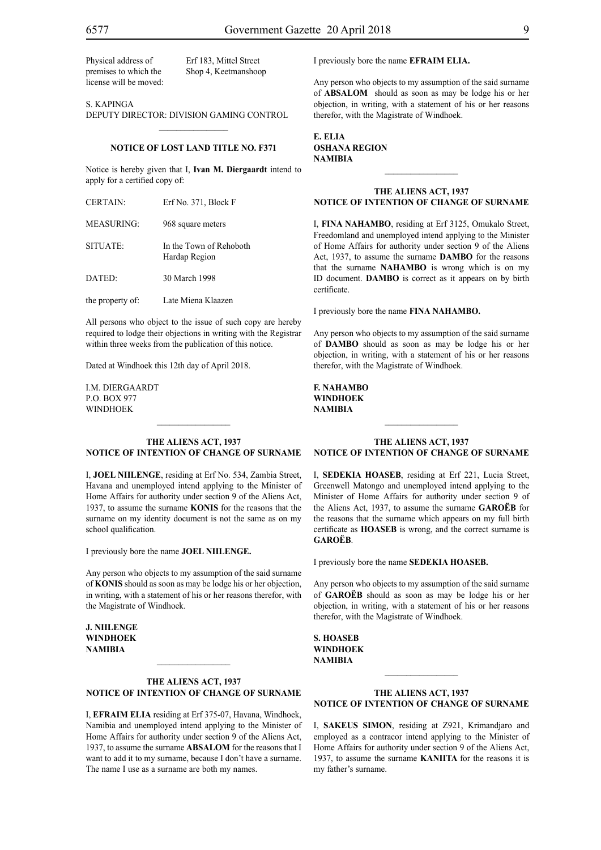Physical address of Erf 183, Mittel Street license will be moved:

premises to which the Shop 4, Keetmanshoop

S. KAPINGA DEPUTY DIRECTOR: DIVISION GAMING CONTROL

### $\mathcal{L}=\mathcal{L}^{\mathcal{L}}$ **NOTICE OF LOST LAND TITLE NO. F371**

Notice is hereby given that I, **Ivan M. Diergaardt** intend to apply for a certified copy of:

| <b>CERTAIN:</b>  | Erf No. 371, Block F                     |
|------------------|------------------------------------------|
| MEASURING:       | 968 square meters                        |
| SITUATE:         | In the Town of Rehoboth<br>Hardap Region |
| DATED:           | 30 March 1998                            |
| the property of: | Late Miena Klaazen                       |

All persons who object to the issue of such copy are hereby required to lodge their objections in writing with the Registrar within three weeks from the publication of this notice.

Dated at Windhoek this 12th day of April 2018.

i.m. diergaardt p.o. box 977 **WINDHOEK** 

#### **THE ALIENS ACT, 1937 NOTICE OF INTENTION OF CHANGE OF SURNAME**

 $\frac{1}{2}$ 

I, **joel niilenge**, residing at Erf No. 534, Zambia Street, Havana and unemployed intend applying to the Minister of Home Affairs for authority under section 9 of the Aliens Act, 1937, to assume the surname **konis** for the reasons that the surname on my identity document is not the same as on my school qualification.

I previously bore the name **joel niilenge.**

Any person who objects to my assumption of the said surname of **konis** should as soon as may be lodge his or her objection, in writing, with a statement of his or her reasons therefor, with the Magistrate of Windhoek.

**j. niilenge windhoek NAMIBIA**

#### **THE ALIENS ACT, 1937 NOTICE OF INTENTION OF CHANGE OF SURNAME**

 $\mathcal{L}_\text{max}$ 

I, **efraim elia** residing at Erf 375-07, Havana, Windhoek, Namibia and unemployed intend applying to the Minister of Home Affairs for authority under section 9 of the Aliens Act, 1937, to assume the surname **absalom** for the reasons that I want to add it to my surname, because I don't have a surname. The name I use as a surname are both my names.

I previously bore the name **efraim elia.**

Any person who objects to my assumption of the said surname of **absalom** should as soon as may be lodge his or her objection, in writing, with a statement of his or her reasons therefor, with the Magistrate of Windhoek.

**e. elia Oshana Region NAMIBIA**

#### **THE ALIENS ACT, 1937 NOTICE OF INTENTION OF CHANGE OF SURNAME**

 $\frac{1}{2}$ 

I, **fina nahambo**, residing at Erf 3125, Omukalo Street, Freedomland and unemployed intend applying to the Minister of Home Affairs for authority under section 9 of the Aliens Act, 1937, to assume the surname **DAMBO** for the reasons that the surname **NAHAMBO** is wrong which is on my ID document. **DAMBO** is correct as it appears on by birth certificate.

I previously bore the name **fina nahambo.**

Any person who objects to my assumption of the said surname of **DAMBO** should as soon as may be lodge his or her objection, in writing, with a statement of his or her reasons therefor, with the Magistrate of Windhoek.

**f. nahambo windhoek NAMIBIA**

#### **THE ALIENS ACT, 1937 NOTICE OF INTENTION OF CHANGE OF SURNAME**

 $\frac{1}{2}$ 

I, **sedekia hoaseb**, residing at Erf 221, Lucia Street, Greenwell Matongo and unemployed intend applying to the Minister of Home Affairs for authority under section 9 of the Aliens Act, 1937, to assume the surname **GAROËB** for the reasons that the surname which appears on my full birth certificate as **HOASEB** is wrong, and the correct surname is **GAROËB**.

I previously bore the name **SEDEKIA HOASEB.** 

Any person who objects to my assumption of the said surname of **GAROËB** should as soon as may be lodge his or her objection, in writing, with a statement of his or her reasons therefor, with the Magistrate of Windhoek.

**s. hoaseb windhoek NAMIBIA**

#### **THE ALIENS ACT, 1937 NOTICE OF INTENTION OF CHANGE OF SURNAME**

I, **sakeus simon**, residing at Z921, Krimandjaro and employed as a contracor intend applying to the Minister of Home Affairs for authority under section 9 of the Aliens Act, 1937, to assume the surname **KANIITA** for the reasons it is my father's surname.